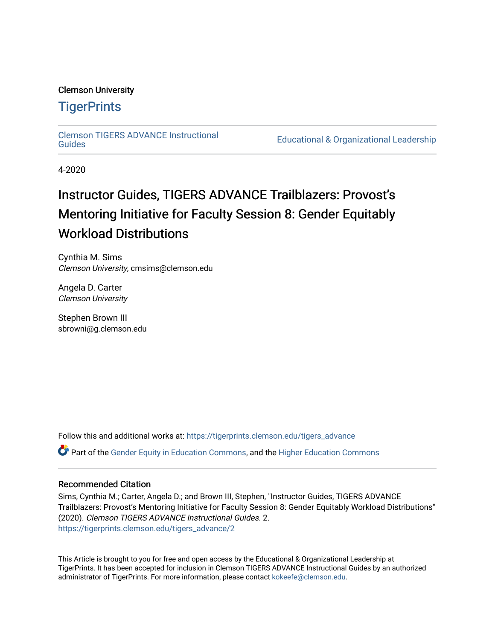#### Clemson University

#### **TigerPrints**

[Clemson TIGERS ADVANCE Instructional](https://tigerprints.clemson.edu/tigers_advance) 

Educational & Organizational Leadership

4-2020

# Instructor Guides, TIGERS ADVANCE Trailblazers: Provost's Mentoring Initiative for Faculty Session 8: Gender Equitably Workload Distributions

Cynthia M. Sims Clemson University, cmsims@clemson.edu

Angela D. Carter Clemson University

Stephen Brown III sbrowni@g.clemson.edu

Follow this and additional works at: [https://tigerprints.clemson.edu/tigers\\_advance](https://tigerprints.clemson.edu/tigers_advance?utm_source=tigerprints.clemson.edu%2Ftigers_advance%2F2&utm_medium=PDF&utm_campaign=PDFCoverPages)  Part of the [Gender Equity in Education Commons,](http://network.bepress.com/hgg/discipline/1376?utm_source=tigerprints.clemson.edu%2Ftigers_advance%2F2&utm_medium=PDF&utm_campaign=PDFCoverPages) and the [Higher Education Commons](http://network.bepress.com/hgg/discipline/1245?utm_source=tigerprints.clemson.edu%2Ftigers_advance%2F2&utm_medium=PDF&utm_campaign=PDFCoverPages) 

#### Recommended Citation

Sims, Cynthia M.; Carter, Angela D.; and Brown III, Stephen, "Instructor Guides, TIGERS ADVANCE Trailblazers: Provost's Mentoring Initiative for Faculty Session 8: Gender Equitably Workload Distributions" (2020). Clemson TIGERS ADVANCE Instructional Guides. 2. [https://tigerprints.clemson.edu/tigers\\_advance/2](https://tigerprints.clemson.edu/tigers_advance/2?utm_source=tigerprints.clemson.edu%2Ftigers_advance%2F2&utm_medium=PDF&utm_campaign=PDFCoverPages)

This Article is brought to you for free and open access by the Educational & Organizational Leadership at TigerPrints. It has been accepted for inclusion in Clemson TIGERS ADVANCE Instructional Guides by an authorized administrator of TigerPrints. For more information, please contact [kokeefe@clemson.edu.](mailto:kokeefe@clemson.edu)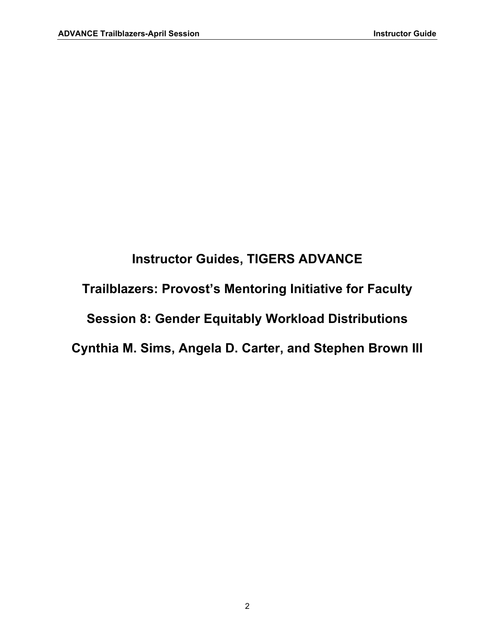# **Instructor Guides, TIGERS ADVANCE Trailblazers: Provost's Mentoring Initiative for Faculty Session 8: Gender Equitably Workload Distributions Cynthia M. Sims, Angela D. Carter, and Stephen Brown III**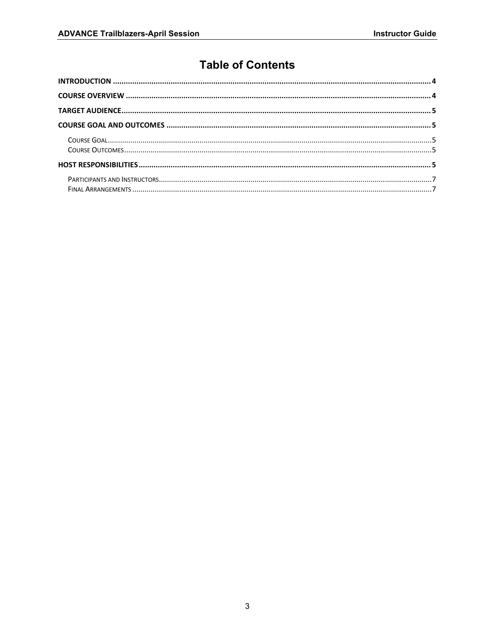#### **Table of Contents**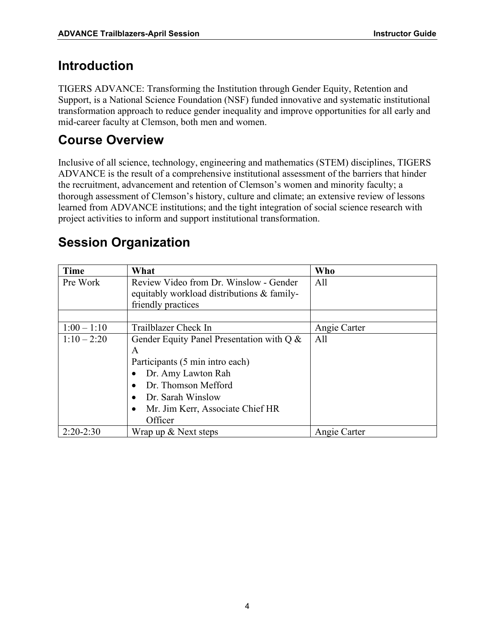#### <span id="page-3-0"></span>**Introduction**

TIGERS ADVANCE: Transforming the Institution through Gender Equity, Retention and Support, is a National Science Foundation (NSF) funded innovative and systematic institutional transformation approach to reduce gender inequality and improve opportunities for all early and mid-career faculty at Clemson, both men and women.

# <span id="page-3-1"></span>**Course Overview**

Inclusive of all science, technology, engineering and mathematics (STEM) disciplines, TIGERS ADVANCE is the result of a comprehensive institutional assessment of the barriers that hinder the recruitment, advancement and retention of Clemson's women and minority faculty; a thorough assessment of Clemson's history, culture and climate; an extensive review of lessons learned from ADVANCE institutions; and the tight integration of social science research with project activities to inform and support institutional transformation.

| <b>Time</b>   | What                                       | <b>Who</b>   |
|---------------|--------------------------------------------|--------------|
| Pre Work      | Review Video from Dr. Winslow - Gender     | All          |
|               | equitably workload distributions & family- |              |
|               | friendly practices                         |              |
|               |                                            |              |
| $1:00 - 1:10$ | Trailblazer Check In                       | Angie Carter |
| $1:10 - 2:20$ | Gender Equity Panel Presentation with Q &  | All          |
|               | A                                          |              |
|               | Participants (5 min intro each)            |              |
|               | Dr. Amy Lawton Rah                         |              |
|               | Dr. Thomson Mefford                        |              |
|               | Dr. Sarah Winslow                          |              |
|               | Mr. Jim Kerr, Associate Chief HR           |              |
|               | Officer                                    |              |
| $2:20-2:30$   | Wrap up & Next steps                       | Angie Carter |

# **Session Organization**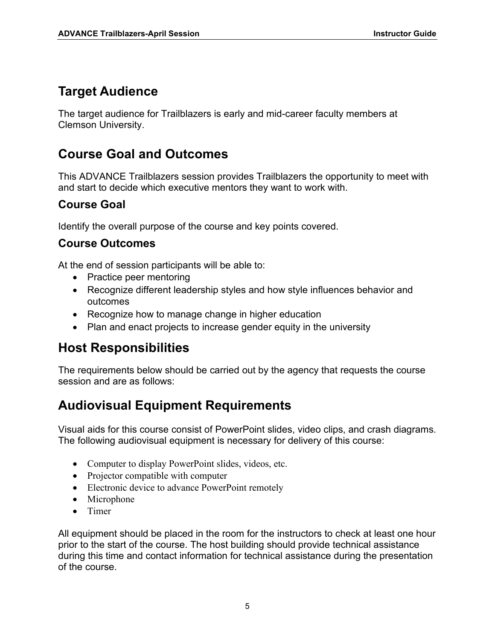#### <span id="page-4-0"></span>**Target Audience**

The target audience for Trailblazers is early and mid-career faculty members at Clemson University.

# <span id="page-4-1"></span>**Course Goal and Outcomes**

This ADVANCE Trailblazers session provides Trailblazers the opportunity to meet with and start to decide which executive mentors they want to work with.

#### <span id="page-4-2"></span>**Course Goal**

Identify the overall purpose of the course and key points covered.

#### <span id="page-4-3"></span>**Course Outcomes**

<span id="page-4-4"></span>At the end of session participants will be able to:

- Practice peer mentoring
- Recognize different leadership styles and how style influences behavior and outcomes
- Recognize how to manage change in higher education
- Plan and enact projects to increase gender equity in the university

#### **Host Responsibilities**

The requirements below should be carried out by the agency that requests the course session and are as follows:

# **Audiovisual Equipment Requirements**

Visual aids for this course consist of PowerPoint slides, video clips, and crash diagrams. The following audiovisual equipment is necessary for delivery of this course:

- Computer to display PowerPoint slides, videos, etc.
- Projector compatible with computer
- Electronic device to advance PowerPoint remotely
- Microphone
- Timer

All equipment should be placed in the room for the instructors to check at least one hour prior to the start of the course. The host building should provide technical assistance during this time and contact information for technical assistance during the presentation of the course.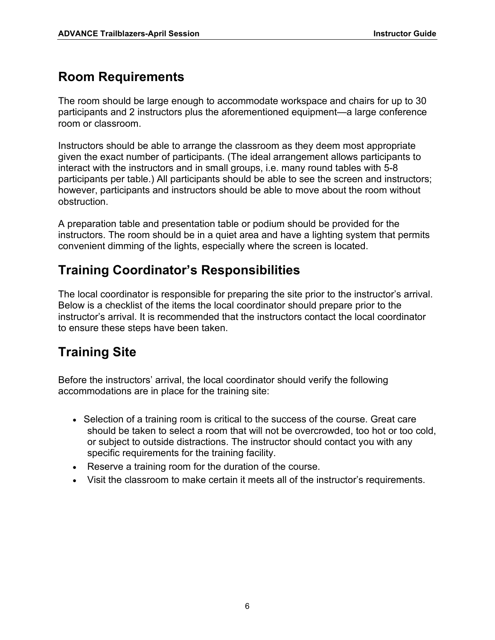# **Room Requirements**

The room should be large enough to accommodate workspace and chairs for up to 30 participants and 2 instructors plus the aforementioned equipment—a large conference room or classroom.

Instructors should be able to arrange the classroom as they deem most appropriate given the exact number of participants. (The ideal arrangement allows participants to interact with the instructors and in small groups, i.e. many round tables with 5-8 participants per table.) All participants should be able to see the screen and instructors; however, participants and instructors should be able to move about the room without obstruction.

A preparation table and presentation table or podium should be provided for the instructors. The room should be in a quiet area and have a lighting system that permits convenient dimming of the lights, especially where the screen is located.

# **Training Coordinator's Responsibilities**

The local coordinator is responsible for preparing the site prior to the instructor's arrival. Below is a checklist of the items the local coordinator should prepare prior to the instructor's arrival. It is recommended that the instructors contact the local coordinator to ensure these steps have been taken.

# **Training Site**

Before the instructors' arrival, the local coordinator should verify the following accommodations are in place for the training site:

- Selection of a training room is critical to the success of the course. Great care should be taken to select a room that will not be overcrowded, too hot or too cold, or subject to outside distractions. The instructor should contact you with any specific requirements for the training facility.
- Reserve a training room for the duration of the course.
- Visit the classroom to make certain it meets all of the instructor's requirements.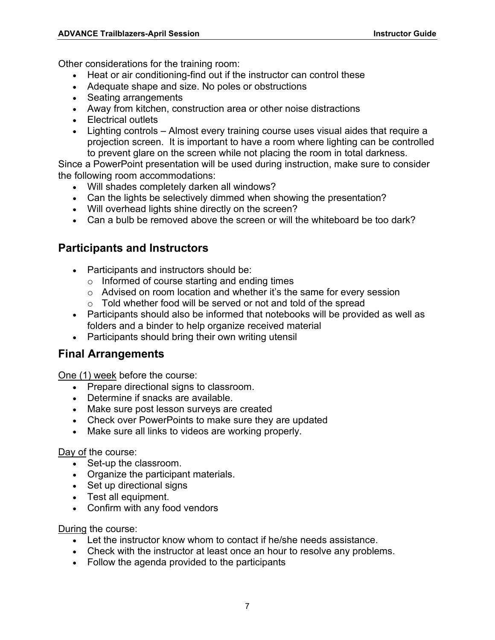Other considerations for the training room:

- Heat or air conditioning-find out if the instructor can control these
- Adequate shape and size. No poles or obstructions
- Seating arrangements
- Away from kitchen, construction area or other noise distractions
- Electrical outlets
- Lighting controls Almost every training course uses visual aides that require a projection screen. It is important to have a room where lighting can be controlled to prevent glare on the screen while not placing the room in total darkness.

Since a PowerPoint presentation will be used during instruction, make sure to consider the following room accommodations:

- Will shades completely darken all windows?
- Can the lights be selectively dimmed when showing the presentation?
- Will overhead lights shine directly on the screen?
- Can a bulb be removed above the screen or will the whiteboard be too dark?

#### <span id="page-6-0"></span>**Participants and Instructors**

- Participants and instructors should be:
	- o Informed of course starting and ending times
	- o Advised on room location and whether it's the same for every session
	- o Told whether food will be served or not and told of the spread
- Participants should also be informed that notebooks will be provided as well as folders and a binder to help organize received material
- Participants should bring their own writing utensil

#### <span id="page-6-1"></span>**Final Arrangements**

One (1) week before the course:

- Prepare directional signs to classroom.
- Determine if snacks are available.
- Make sure post lesson surveys are created
- Check over PowerPoints to make sure they are updated
- Make sure all links to videos are working properly.

Day of the course:

- Set-up the classroom.
- Organize the participant materials.
- Set up directional signs
- Test all equipment.
- Confirm with any food vendors

During the course:

- Let the instructor know whom to contact if he/she needs assistance.
- Check with the instructor at least once an hour to resolve any problems.
- Follow the agenda provided to the participants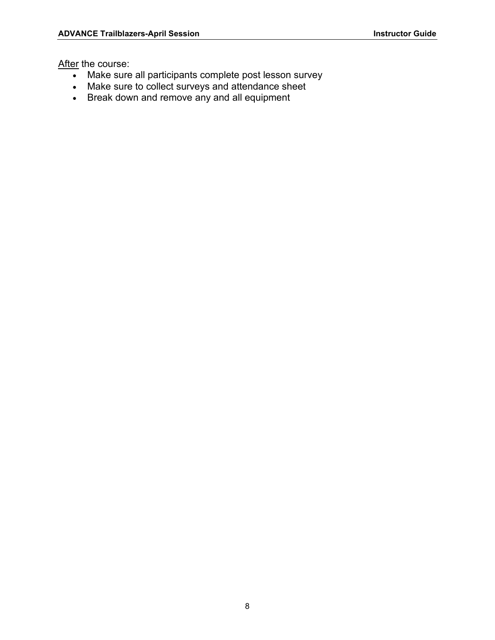After the course:

- Make sure all participants complete post lesson survey
- Make sure to collect surveys and attendance sheet
- Break down and remove any and all equipment